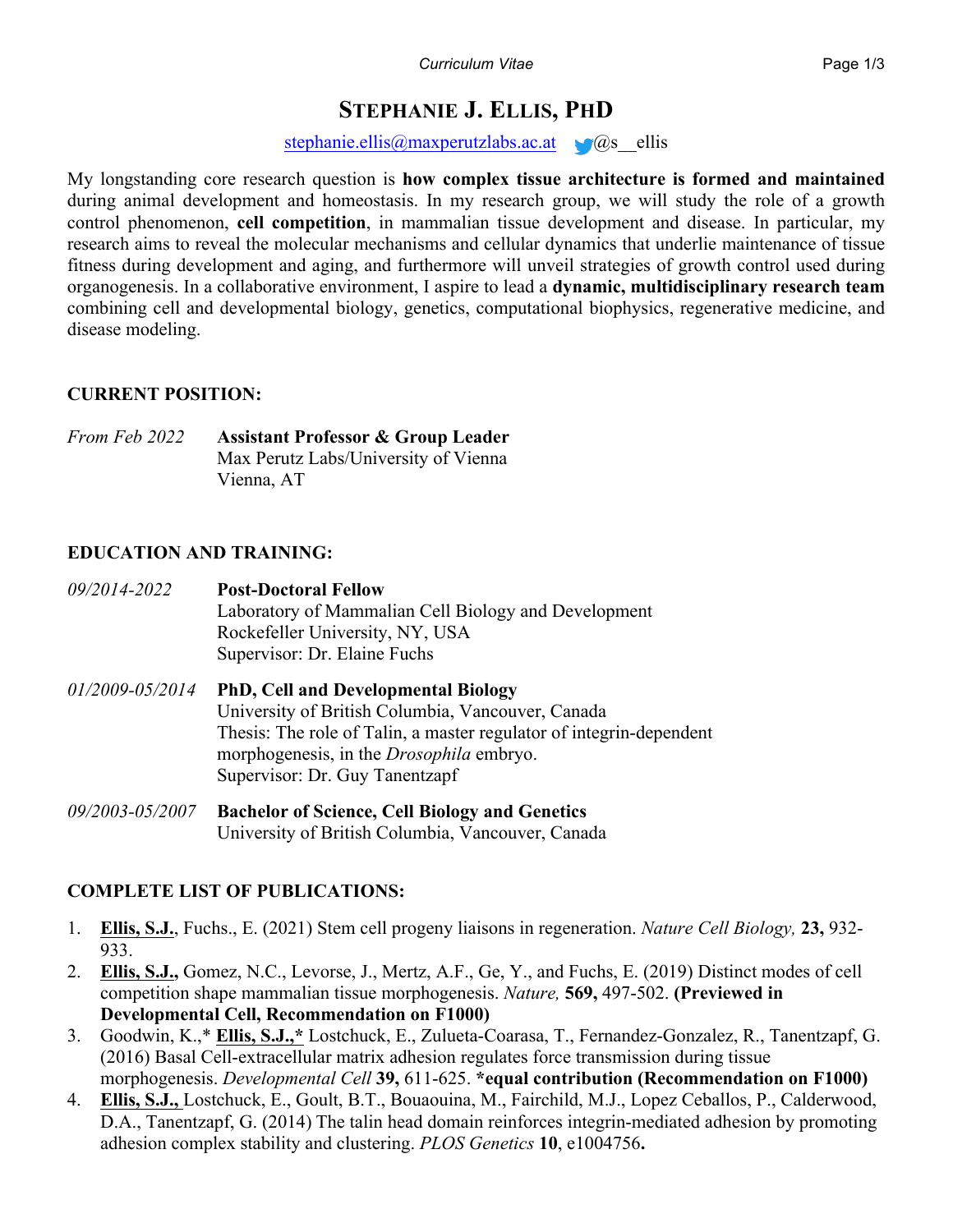# **STEPHANIE J. ELLIS, PHD**

stephanie.ellis@maxperutzlabs.ac.at  $\bigcirc$ @s ellis

My longstanding core research question is **how complex tissue architecture is formed and maintained** during animal development and homeostasis. In my research group, we will study the role of a growth control phenomenon, **cell competition**, in mammalian tissue development and disease. In particular, my research aims to reveal the molecular mechanisms and cellular dynamics that underlie maintenance of tissue fitness during development and aging, and furthermore will unveil strategies of growth control used during organogenesis. In a collaborative environment, I aspire to lead a **dynamic, multidisciplinary research team** combining cell and developmental biology, genetics, computational biophysics, regenerative medicine, and disease modeling.

## **CURRENT POSITION:**

*From Feb 2022* **Assistant Professor & Group Leader** Max Perutz Labs/University of Vienna Vienna, AT

## **EDUCATION AND TRAINING:**

| 09/2014-2022    | <b>Post-Doctoral Fellow</b><br>Laboratory of Mammalian Cell Biology and Development<br>Rockefeller University, NY, USA<br>Supervisor: Dr. Elaine Fuchs                                                                                                      |
|-----------------|-------------------------------------------------------------------------------------------------------------------------------------------------------------------------------------------------------------------------------------------------------------|
| 01/2009-05/2014 | <b>PhD, Cell and Developmental Biology</b><br>University of British Columbia, Vancouver, Canada<br>Thesis: The role of Talin, a master regulator of integrin-dependent<br>morphogenesis, in the <i>Drosophila</i> embryo.<br>Supervisor: Dr. Guy Tanentzapf |
| 09/2003-05/2007 | <b>Bachelor of Science, Cell Biology and Genetics</b><br>University of British Columbia, Vancouver, Canada                                                                                                                                                  |

## **COMPLETE LIST OF PUBLICATIONS:**

- 1. **Ellis, S.J.**, Fuchs., E. (2021) Stem cell progeny liaisons in regeneration. *Nature Cell Biology,* **23,** 932- 933.
- 2. **Ellis, S.J.,** Gomez, N.C., Levorse, J., Mertz, A.F., Ge, Y., and Fuchs, E. (2019) Distinct modes of cell competition shape mammalian tissue morphogenesis. *Nature,* **569,** 497-502. **(Previewed in Developmental Cell, Recommendation on F1000)**
- 3. Goodwin, K.,\* **Ellis, S.J.,\*** Lostchuck, E., Zulueta-Coarasa, T., Fernandez-Gonzalez, R., Tanentzapf, G. (2016) Basal Cell-extracellular matrix adhesion regulates force transmission during tissue morphogenesis. *Developmental Cell* **39,** 611-625. **\*equal contribution (Recommendation on F1000)**
- 4. **Ellis, S.J.,** Lostchuck, E., Goult, B.T., Bouaouina, M., Fairchild, M.J., Lopez Ceballos, P., Calderwood, D.A., Tanentzapf, G. (2014) The talin head domain reinforces integrin-mediated adhesion by promoting adhesion complex stability and clustering. *PLOS Genetics* **10**, e1004756**.**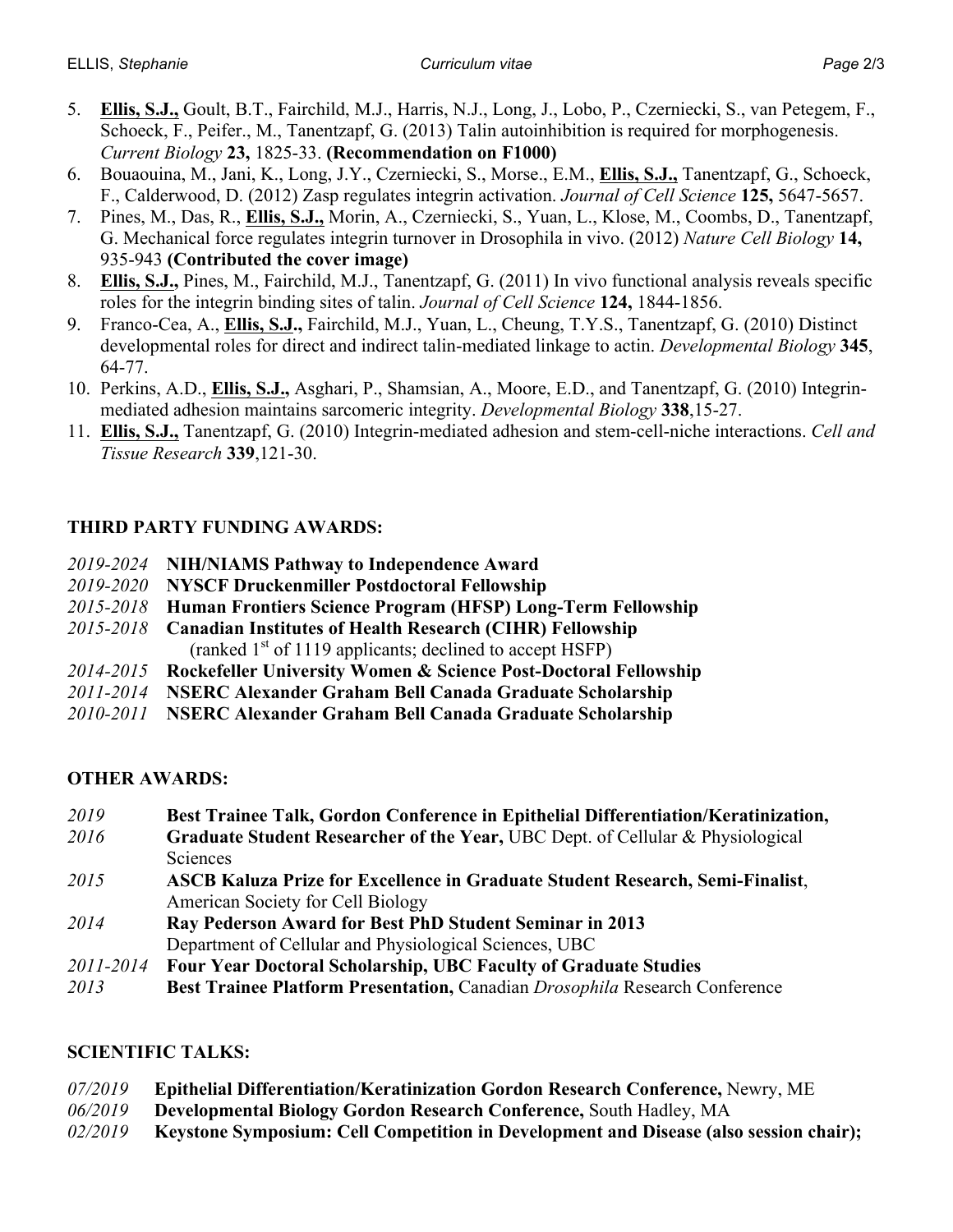- 5. **Ellis, S.J.,** Goult, B.T., Fairchild, M.J., Harris, N.J., Long, J., Lobo, P., Czerniecki, S., van Petegem, F., Schoeck, F., Peifer., M., Tanentzapf, G. (2013) Talin autoinhibition is required for morphogenesis. *Current Biology* **23,** 1825-33. **(Recommendation on F1000)**
- 6. Bouaouina, M., Jani, K., Long, J.Y., Czerniecki, S., Morse., E.M., **Ellis, S.J.,** Tanentzapf, G., Schoeck, F., Calderwood, D. (2012) Zasp regulates integrin activation. *Journal of Cell Science* **125,** 5647-5657.
- 7. Pines, M., Das, R., **Ellis, S.J.,** Morin, A., Czerniecki, S., Yuan, L., Klose, M., Coombs, D., Tanentzapf, G. Mechanical force regulates integrin turnover in Drosophila in vivo. (2012) *Nature Cell Biology* **14,** 935-943 **(Contributed the cover image)**
- 8. **Ellis, S.J.,** Pines, M., Fairchild, M.J., Tanentzapf, G. (2011) In vivo functional analysis reveals specific roles for the integrin binding sites of talin. *Journal of Cell Science* **124,** 1844-1856.
- 9. Franco-Cea, A., **Ellis, S.J.,** Fairchild, M.J., Yuan, L., Cheung, T.Y.S., Tanentzapf, G. (2010) Distinct developmental roles for direct and indirect talin-mediated linkage to actin. *Developmental Biology* **345**, 64-77.
- 10. Perkins, A.D., **Ellis, S.J.,** Asghari, P., Shamsian, A., Moore, E.D., and Tanentzapf, G. (2010) Integrinmediated adhesion maintains sarcomeric integrity. *Developmental Biology* **338**,15-27.
- 11. **Ellis, S.J.,** Tanentzapf, G. (2010) Integrin-mediated adhesion and stem-cell-niche interactions. *Cell and Tissue Research* **339**,121-30.

## **THIRD PARTY FUNDING AWARDS:**

- *2019-2024* **NIH/NIAMS Pathway to Independence Award**
- *2019-2020* **NYSCF Druckenmiller Postdoctoral Fellowship**
- *2015-2018* **Human Frontiers Science Program (HFSP) Long-Term Fellowship**
- *2015-2018* **Canadian Institutes of Health Research (CIHR) Fellowship** (ranked  $1<sup>st</sup>$  of 1119 applicants; declined to accept HSFP)
- *2014-2015* **Rockefeller University Women & Science Post-Doctoral Fellowship**
- *2011-2014* **NSERC Alexander Graham Bell Canada Graduate Scholarship**
- *2010-2011* **NSERC Alexander Graham Bell Canada Graduate Scholarship**

## **OTHER AWARDS:**

*2019* **Best Trainee Talk, Gordon Conference in Epithelial Differentiation/Keratinization,**  *2016* **Graduate Student Researcher of the Year,** UBC Dept. of Cellular & Physiological Sciences *2015* **ASCB Kaluza Prize for Excellence in Graduate Student Research, Semi-Finalist**, American Society for Cell Biology *2014* **Ray Pederson Award for Best PhD Student Seminar in 2013** Department of Cellular and Physiological Sciences, UBC *2011-2014* **Four Year Doctoral Scholarship, UBC Faculty of Graduate Studies** *2013* **Best Trainee Platform Presentation,** Canadian *Drosophila* Research Conference

## **SCIENTIFIC TALKS:**

- *07/2019* **Epithelial Differentiation/Keratinization Gordon Research Conference,** Newry, ME
- *06/2019* **Developmental Biology Gordon Research Conference,** South Hadley, MA
- *02/2019* **Keystone Symposium: Cell Competition in Development and Disease (also session chair);**